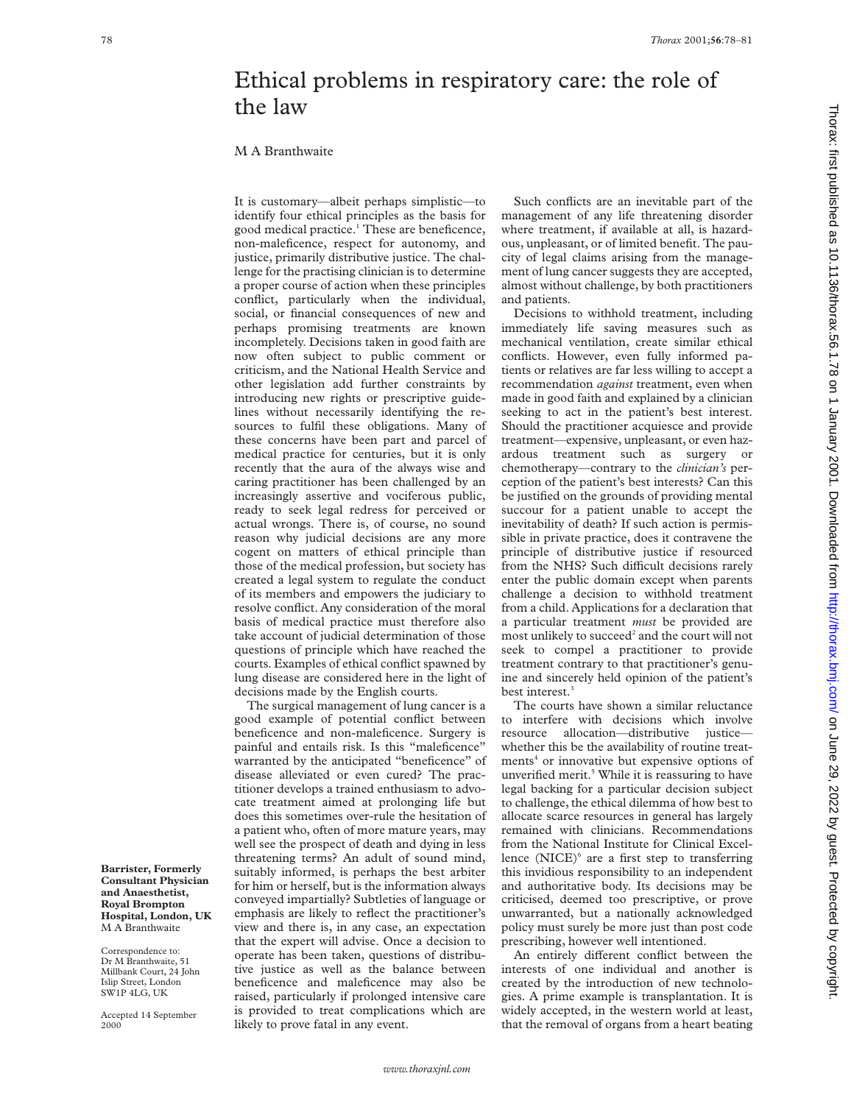## Ethical problems in respiratory care: the role of the law

## M A Branthwaite

It is customary—albeit perhaps simplistic—to identify four ethical principles as the basis for good medical practice.1 These are beneficence, non-maleficence, respect for autonomy, and justice, primarily distributive justice. The challenge for the practising clinician is to determine a proper course of action when these principles conflict, particularly when the individual, social, or financial consequences of new and perhaps promising treatments are known incompletely. Decisions taken in good faith are now often subject to public comment or criticism, and the National Health Service and other legislation add further constraints by introducing new rights or prescriptive guidelines without necessarily identifying the resources to fulfil these obligations. Many of these concerns have been part and parcel of medical practice for centuries, but it is only recently that the aura of the always wise and caring practitioner has been challenged by an increasingly assertive and vociferous public, ready to seek legal redress for perceived or actual wrongs. There is, of course, no sound reason why judicial decisions are any more cogent on matters of ethical principle than those of the medical profession, but society has created a legal system to regulate the conduct of its members and empowers the judiciary to resolve conflict. Any consideration of the moral basis of medical practice must therefore also take account of judicial determination of those questions of principle which have reached the courts. Examples of ethical conflict spawned by lung disease are considered here in the light of decisions made by the English courts.

The surgical management of lung cancer is a good example of potential conflict between beneficence and non-maleficence. Surgery is painful and entails risk. Is this "maleficence" warranted by the anticipated "beneficence" of disease alleviated or even cured? The practitioner develops a trained enthusiasm to advocate treatment aimed at prolonging life but does this sometimes over-rule the hesitation of a patient who, often of more mature years, may well see the prospect of death and dying in less threatening terms? An adult of sound mind, suitably informed, is perhaps the best arbiter for him or herself, but is the information always conveyed impartially? Subtleties of language or emphasis are likely to reflect the practitioner's view and there is, in any case, an expectation that the expert will advise. Once a decision to operate has been taken, questions of distributive justice as well as the balance between beneficence and maleficence may also be raised, particularly if prolonged intensive care is provided to treat complications which are likely to prove fatal in any event.

Such conflicts are an inevitable part of the management of any life threatening disorder where treatment, if available at all, is hazardous, unpleasant, or of limited benefit. The paucity of legal claims arising from the management of lung cancer suggests they are accepted, almost without challenge, by both practitioners and patients.

Decisions to withhold treatment, including immediately life saving measures such as mechanical ventilation, create similar ethical conflicts. However, even fully informed patients or relatives are far less willing to accept a recommendation *against* treatment, even when made in good faith and explained by a clinician seeking to act in the patient's best interest. Should the practitioner acquiesce and provide treatment—expensive, unpleasant, or even hazardous treatment such as surgery or chemotherapy—contrary to the *clinician's* perception of the patient's best interests? Can this be justified on the grounds of providing mental succour for a patient unable to accept the inevitability of death? If such action is permissible in private practice, does it contravene the principle of distributive justice if resourced from the NHS? Such difficult decisions rarely enter the public domain except when parents challenge a decision to withhold treatment from a child. Applications for a declaration that a particular treatment *must* be provided are most unlikely to succeed<sup>2</sup> and the court will not seek to compel a practitioner to provide treatment contrary to that practitioner's genuine and sincerely held opinion of the patient's best interest.<sup>3</sup>

The courts have shown a similar reluctance to interfere with decisions which involve resource allocation—distributive justice whether this be the availability of routine treatments<sup>4</sup> or innovative but expensive options of unverified merit. $5$  While it is reassuring to have legal backing for a particular decision subject to challenge, the ethical dilemma of how best to allocate scarce resources in general has largely remained with clinicians. Recommendations from the National Institute for Clinical Excellence  $(NICE)^6$  are a first step to transferring this invidious responsibility to an independent and authoritative body. Its decisions may be criticised, deemed too prescriptive, or prove unwarranted, but a nationally acknowledged policy must surely be more just than post code prescribing, however well intentioned.

An entirely different conflict between the interests of one individual and another is created by the introduction of new technologies. A prime example is transplantation. It is widely accepted, in the western world at least, that the removal of organs from a heart beating

**Barrister, Formerly Consultant Physician and Anaesthetist, Royal Brompton Hospital, London, UK** M A Branthwaite

Correspondence to: Dr M Branthwaite, 51 Millbank Court, 24 John Islip Street, London SW1P 4LG, UK

Accepted 14 September 2000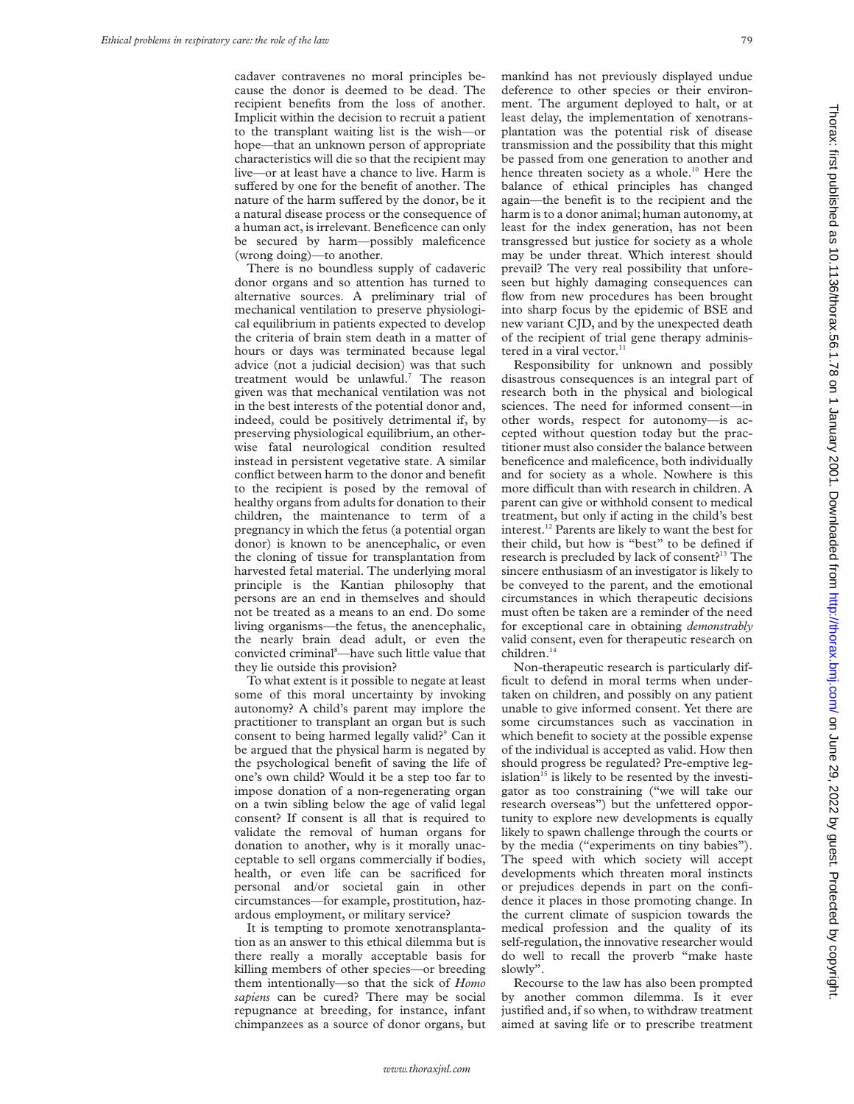cadaver contravenes no moral principles because the donor is deemed to be dead. The recipient benefits from the loss of another. Implicit within the decision to recruit a patient to the transplant waiting list is the wish—or hope—that an unknown person of appropriate characteristics will die so that the recipient may live—or at least have a chance to live. Harm is suffered by one for the benefit of another. The nature of the harm suffered by the donor, be it a natural disease process or the consequence of a human act, is irrelevant. Beneficence can only be secured by harm—possibly maleficence (wrong doing)—to another.

There is no boundless supply of cadaveric donor organs and so attention has turned to alternative sources. A preliminary trial of mechanical ventilation to preserve physiological equilibrium in patients expected to develop the criteria of brain stem death in a matter of hours or days was terminated because legal advice (not a judicial decision) was that such treatment would be unlawful.<sup>7</sup> The reason given was that mechanical ventilation was not in the best interests of the potential donor and, indeed, could be positively detrimental if, by preserving physiological equilibrium, an otherwise fatal neurological condition resulted instead in persistent vegetative state. A similar conflict between harm to the donor and benefit to the recipient is posed by the removal of healthy organs from adults for donation to their children, the maintenance to term of a pregnancy in which the fetus (a potential organ donor) is known to be anencephalic, or even the cloning of tissue for transplantation from harvested fetal material. The underlying moral principle is the Kantian philosophy that persons are an end in themselves and should not be treated as a means to an end. Do some living organisms—the fetus, the anencephalic, the nearly brain dead adult, or even the convicted criminal<sup>8</sup>-have such little value that they lie outside this provision?

To what extent is it possible to negate at least some of this moral uncertainty by invoking autonomy? A child's parent may implore the practitioner to transplant an organ but is such consent to being harmed legally valid?<sup>9</sup> Can it be argued that the physical harm is negated by the psychological benefit of saving the life of one's own child? Would it be a step too far to impose donation of a non-regenerating organ on a twin sibling below the age of valid legal consent? If consent is all that is required to validate the removal of human organs for donation to another, why is it morally unacceptable to sell organs commercially if bodies, health, or even life can be sacrificed for personal and/or societal gain in other circumstances—for example, prostitution, hazardous employment, or military service?

It is tempting to promote xenotransplantation as an answer to this ethical dilemma but is there really a morally acceptable basis for killing members of other species—or breeding them intentionally—so that the sick of *Homo sapiens* can be cured? There may be social repugnance at breeding, for instance, infant chimpanzees as a source of donor organs, but

mankind has not previously displayed undue deference to other species or their environment. The argument deployed to halt, or at least delay, the implementation of xenotransplantation was the potential risk of disease transmission and the possibility that this might be passed from one generation to another and hence threaten society as a whole.<sup>10</sup> Here the balance of ethical principles has changed again—the benefit is to the recipient and the harm is to a donor animal; human autonomy, at least for the index generation, has not been transgressed but justice for society as a whole may be under threat. Which interest should prevail? The very real possibility that unforeseen but highly damaging consequences can flow from new procedures has been brought into sharp focus by the epidemic of BSE and new variant CJD, and by the unexpected death of the recipient of trial gene therapy administered in a viral vector.<sup>11</sup>

Responsibility for unknown and possibly disastrous consequences is an integral part of research both in the physical and biological sciences. The need for informed consent—in other words, respect for autonomy—is accepted without question today but the practitioner must also consider the balance between beneficence and maleficence, both individually and for society as a whole. Nowhere is this more difficult than with research in children. A parent can give or withhold consent to medical treatment, but only if acting in the child's best interest.<sup>12</sup> Parents are likely to want the best for their child, but how is "best" to be defined if research is precluded by lack of consent?13 The sincere enthusiasm of an investigator is likely to be conveyed to the parent, and the emotional circumstances in which therapeutic decisions must often be taken are a reminder of the need for exceptional care in obtaining *demonstrably* valid consent, even for therapeutic research on children.<sup>14</sup>

Non-therapeutic research is particularly difficult to defend in moral terms when undertaken on children, and possibly on any patient unable to give informed consent. Yet there are some circumstances such as vaccination in which benefit to society at the possible expense of the individual is accepted as valid. How then should progress be regulated? Pre-emptive legislation $15$  is likely to be resented by the investigator as too constraining ("we will take our research overseas") but the unfettered opportunity to explore new developments is equally likely to spawn challenge through the courts or by the media ("experiments on tiny babies"). The speed with which society will accept developments which threaten moral instincts or prejudices depends in part on the confidence it places in those promoting change. In the current climate of suspicion towards the medical profession and the quality of its self-regulation, the innovative researcher would do well to recall the proverb "make haste slowly".

Recourse to the law has also been prompted by another common dilemma. Is it ever justified and, if so when, to withdraw treatment aimed at saving life or to prescribe treatment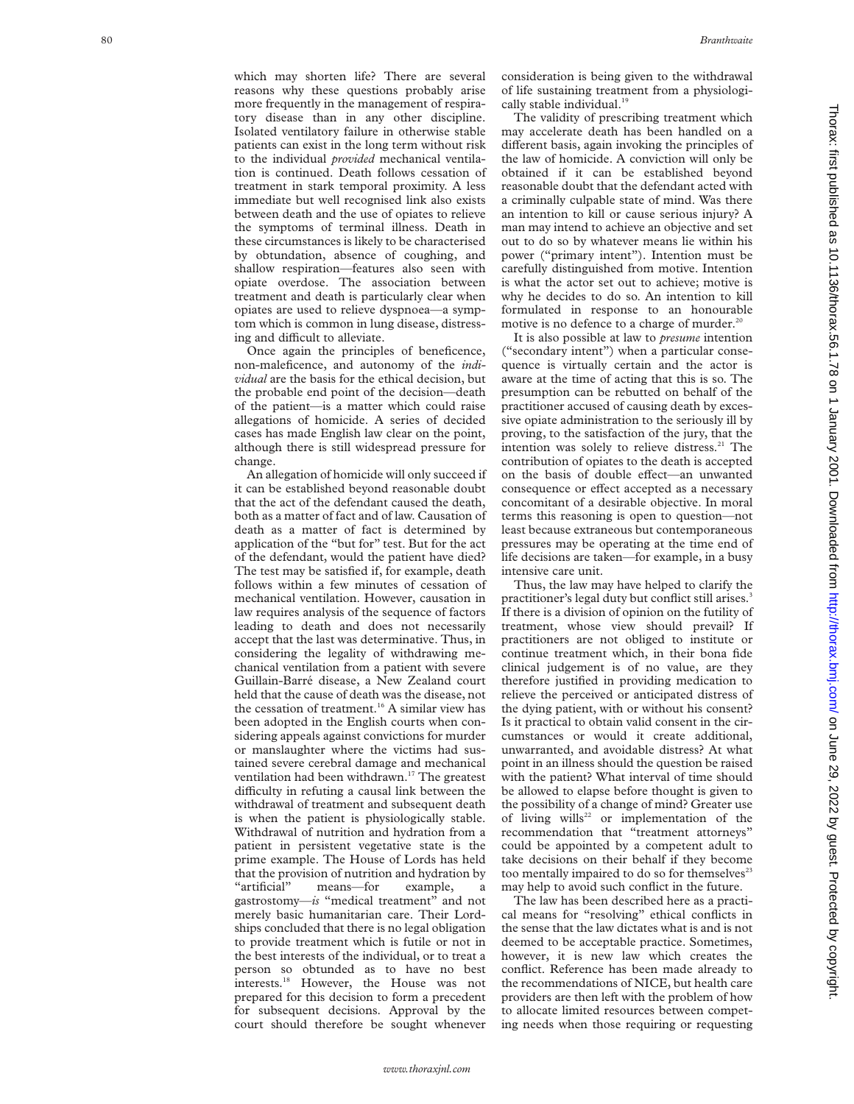which may shorten life? There are several reasons why these questions probably arise more frequently in the management of respiratory disease than in any other discipline. Isolated ventilatory failure in otherwise stable patients can exist in the long term without risk to the individual *provided* mechanical ventilation is continued. Death follows cessation of treatment in stark temporal proximity. A less immediate but well recognised link also exists between death and the use of opiates to relieve the symptoms of terminal illness. Death in these circumstances is likely to be characterised by obtundation, absence of coughing, and shallow respiration—features also seen with opiate overdose. The association between treatment and death is particularly clear when opiates are used to relieve dyspnoea—a symptom which is common in lung disease, distressing and difficult to alleviate.

Once again the principles of beneficence, non-maleficence, and autonomy of the *individual* are the basis for the ethical decision, but the probable end point of the decision—death of the patient—is a matter which could raise allegations of homicide. A series of decided cases has made English law clear on the point, although there is still widespread pressure for change.

An allegation of homicide will only succeed if it can be established beyond reasonable doubt that the act of the defendant caused the death, both as a matter of fact and of law. Causation of death as a matter of fact is determined by application of the "but for" test. But for the act of the defendant, would the patient have died? The test may be satisfied if, for example, death follows within a few minutes of cessation of mechanical ventilation. However, causation in law requires analysis of the sequence of factors leading to death and does not necessarily accept that the last was determinative. Thus, in considering the legality of withdrawing mechanical ventilation from a patient with severe Guillain-Barré disease, a New Zealand court held that the cause of death was the disease, not the cessation of treatment.<sup>16</sup> A similar view has been adopted in the English courts when considering appeals against convictions for murder or manslaughter where the victims had sustained severe cerebral damage and mechanical ventilation had been withdrawn.<sup>17</sup> The greatest difficulty in refuting a causal link between the withdrawal of treatment and subsequent death is when the patient is physiologically stable. Withdrawal of nutrition and hydration from a patient in persistent vegetative state is the prime example. The House of Lords has held that the provision of nutrition and hydration by "artificial" means—for example, a gastrostomy—*is* "medical treatment" and not merely basic humanitarian care. Their Lordships concluded that there is no legal obligation to provide treatment which is futile or not in the best interests of the individual, or to treat a person so obtunded as to have no best interests.18 However, the House was not prepared for this decision to form a precedent for subsequent decisions. Approval by the court should therefore be sought whenever

consideration is being given to the withdrawal of life sustaining treatment from a physiologically stable individual.<sup>19</sup>

The validity of prescribing treatment which may accelerate death has been handled on a different basis, again invoking the principles of the law of homicide. A conviction will only be obtained if it can be established beyond reasonable doubt that the defendant acted with a criminally culpable state of mind. Was there an intention to kill or cause serious injury? A man may intend to achieve an objective and set out to do so by whatever means lie within his power ("primary intent"). Intention must be carefully distinguished from motive. Intention is what the actor set out to achieve; motive is why he decides to do so. An intention to kill formulated in response to an honourable motive is no defence to a charge of murder. $20$ 

It is also possible at law to *presume* intention ("secondary intent") when a particular consequence is virtually certain and the actor is aware at the time of acting that this is so. The presumption can be rebutted on behalf of the practitioner accused of causing death by excessive opiate administration to the seriously ill by proving, to the satisfaction of the jury, that the intention was solely to relieve distress.<sup>21</sup> The contribution of opiates to the death is accepted on the basis of double effect-an unwanted consequence or effect accepted as a necessary concomitant of a desirable objective. In moral terms this reasoning is open to question—not least because extraneous but contemporaneous pressures may be operating at the time end of life decisions are taken—for example, in a busy intensive care unit.

Thus, the law may have helped to clarify the practitioner's legal duty but conflict still arises. 3 If there is a division of opinion on the futility of treatment, whose view should prevail? If practitioners are not obliged to institute or continue treatment which, in their bona fide clinical judgement is of no value, are they therefore justified in providing medication to relieve the perceived or anticipated distress of the dying patient, with or without his consent? Is it practical to obtain valid consent in the circumstances or would it create additional, unwarranted, and avoidable distress? At what point in an illness should the question be raised with the patient? What interval of time should be allowed to elapse before thought is given to the possibility of a change of mind? Greater use of living wills<sup>22</sup> or implementation of the recommendation that "treatment attorneys" could be appointed by a competent adult to take decisions on their behalf if they become too mentally impaired to do so for themselves $^{23}$ may help to avoid such conflict in the future.

The law has been described here as a practical means for "resolving" ethical conflicts in the sense that the law dictates what is and is not deemed to be acceptable practice. Sometimes, however, it is new law which creates the conflict. Reference has been made already to the recommendations of NICE, but health care providers are then left with the problem of how to allocate limited resources between competing needs when those requiring or requesting